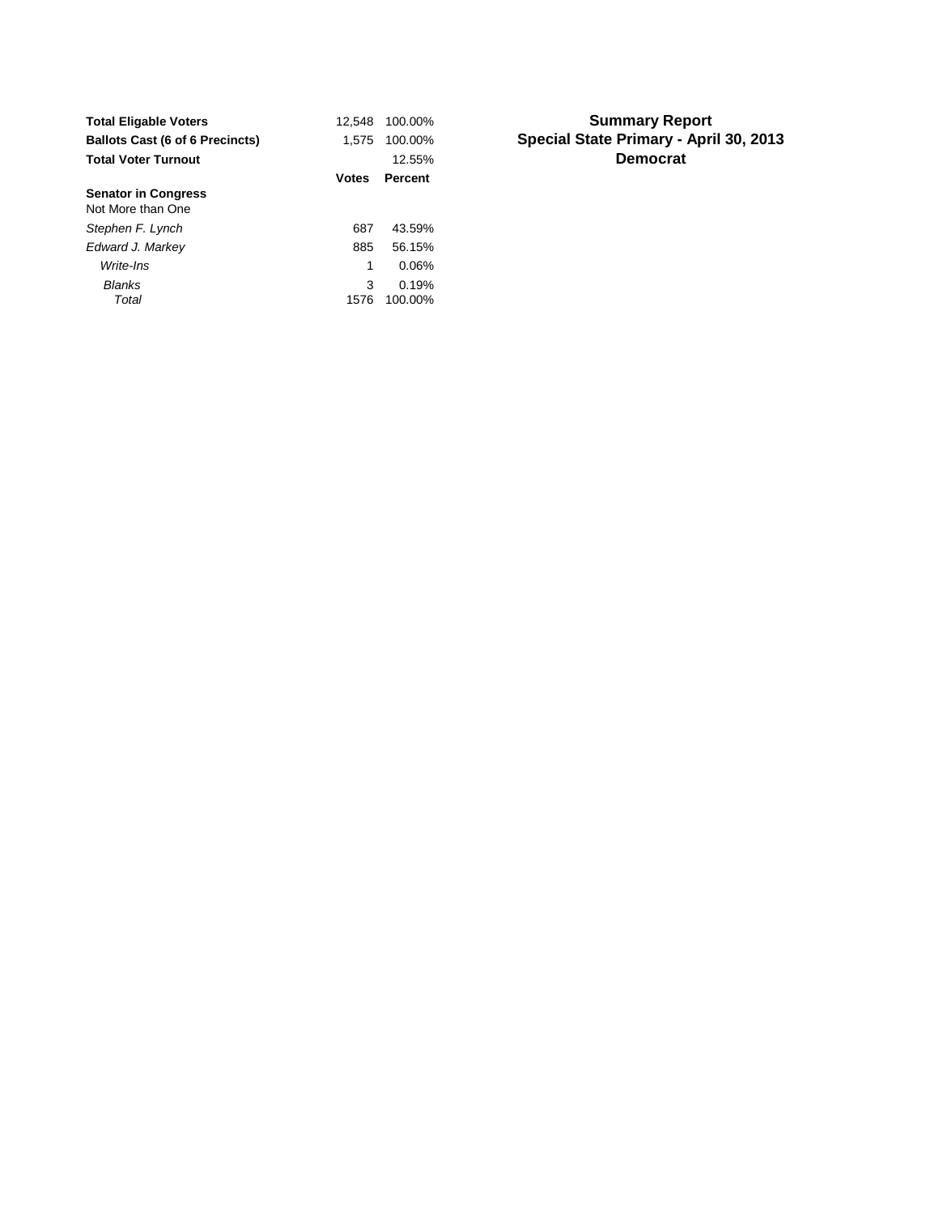| <b>Total Eligable Voters</b>           | 12.548       | 100.00%          |
|----------------------------------------|--------------|------------------|
| <b>Ballots Cast (6 of 6 Precincts)</b> | 1.575        | 100.00%          |
| <b>Total Voter Turnout</b>             |              | 12.55%           |
|                                        | <b>Votes</b> | <b>Percent</b>   |
| <b>Senator in Congress</b>             |              |                  |
| Not More than One                      |              |                  |
| Stephen F. Lynch                       | 687          | 43.59%           |
| Edward J. Markey                       | 885          | 56.15%           |
| Write-Ins                              | 1            | 0.06%            |
| Blanks<br>Total                        | 3<br>1576    | 0.19%<br>100.00% |

## **Summary Report Special State Primary - April 30, 2013 Democrat**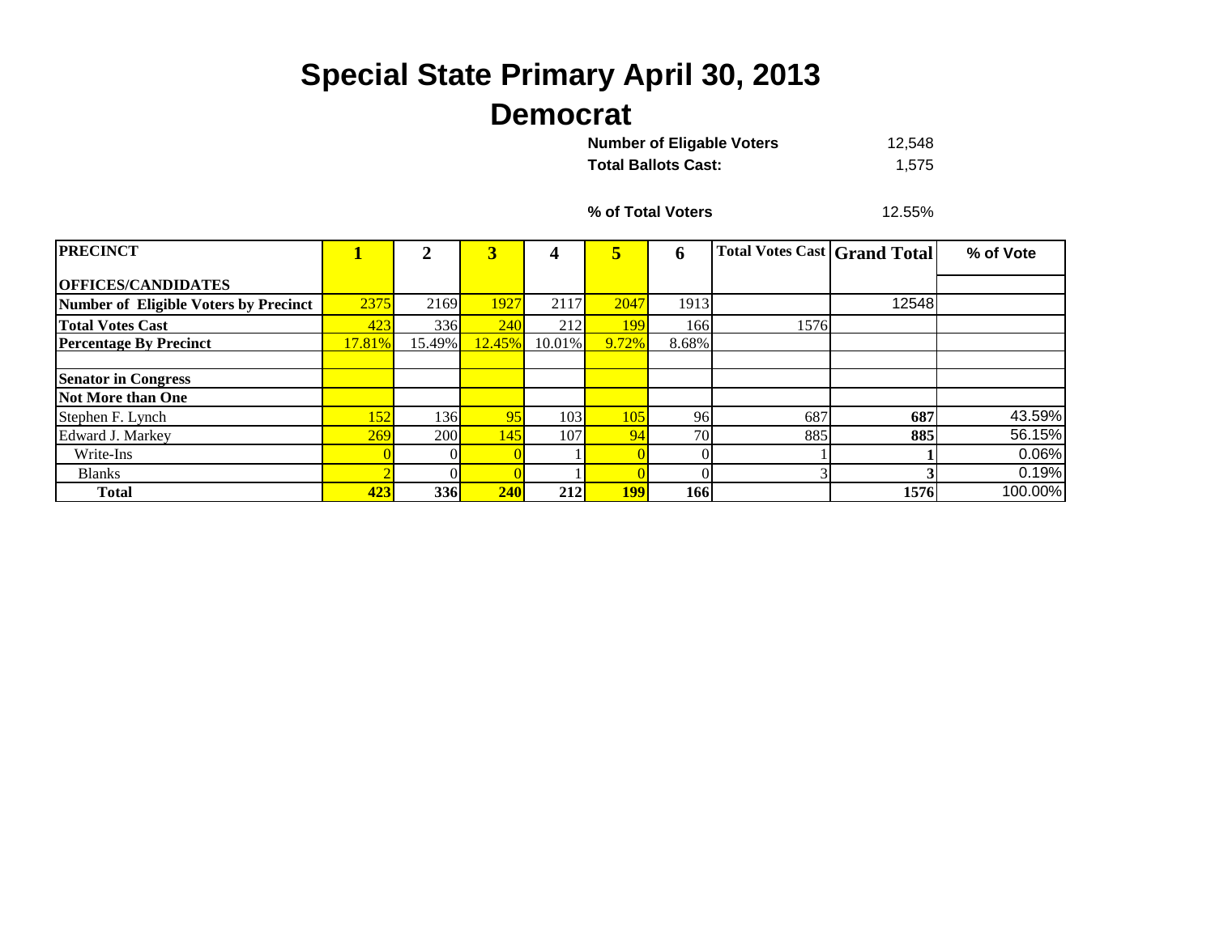## **Special State Primary April 30, 2013 Democrat**

| <b>Number of Eligable Voters</b> | 12.548 |
|----------------------------------|--------|
| <b>Total Ballots Cast:</b>       | 1,575  |

**% of Total Voters**

12.55%

| <b>PRECINCT</b>                       |             | ◠      | 3      |           | 5     | o        | <b>Total Votes Cast Grand Total</b> |       | % of Vote |
|---------------------------------------|-------------|--------|--------|-----------|-------|----------|-------------------------------------|-------|-----------|
|                                       |             |        |        |           |       |          |                                     |       |           |
| <b>OFFICES/CANDIDATES</b>             |             |        |        |           |       |          |                                     |       |           |
| Number of Eligible Voters by Precinct | 2375        | 2169   | 1927   | 2117      | 2047  | 1913     |                                     | 12548 |           |
| <b>Total Votes Cast</b>               | 423         | 336    | 240    | 212       | 199   | 166      | 1576                                |       |           |
| <b>Percentage By Precinct</b>         | 17.81%      | 15.49% | 12.45% | $10.01\%$ | 9.72% | 8.68%    |                                     |       |           |
|                                       |             |        |        |           |       |          |                                     |       |           |
| <b>Senator in Congress</b>            |             |        |        |           |       |          |                                     |       |           |
| Not More than One                     |             |        |        |           |       |          |                                     |       |           |
| Stephen F. Lynch                      | <u> 152</u> | 136    | 95     | 103       | 105   | 96       | 687                                 | 687   | 43.59%    |
| Edward J. Markey                      | 269         | 200    | 145    | 107       | 94    | 70       | 885                                 | 885   | 56.15%    |
| Write-Ins                             |             |        |        |           |       |          |                                     |       | 0.06%     |
| <b>Blanks</b>                         |             |        |        |           |       | $\Omega$ |                                     |       | 0.19%     |
| <b>Total</b>                          | 423         | 336    | 240    | 212       | 199   | 166      |                                     | 1576  | 100.00%   |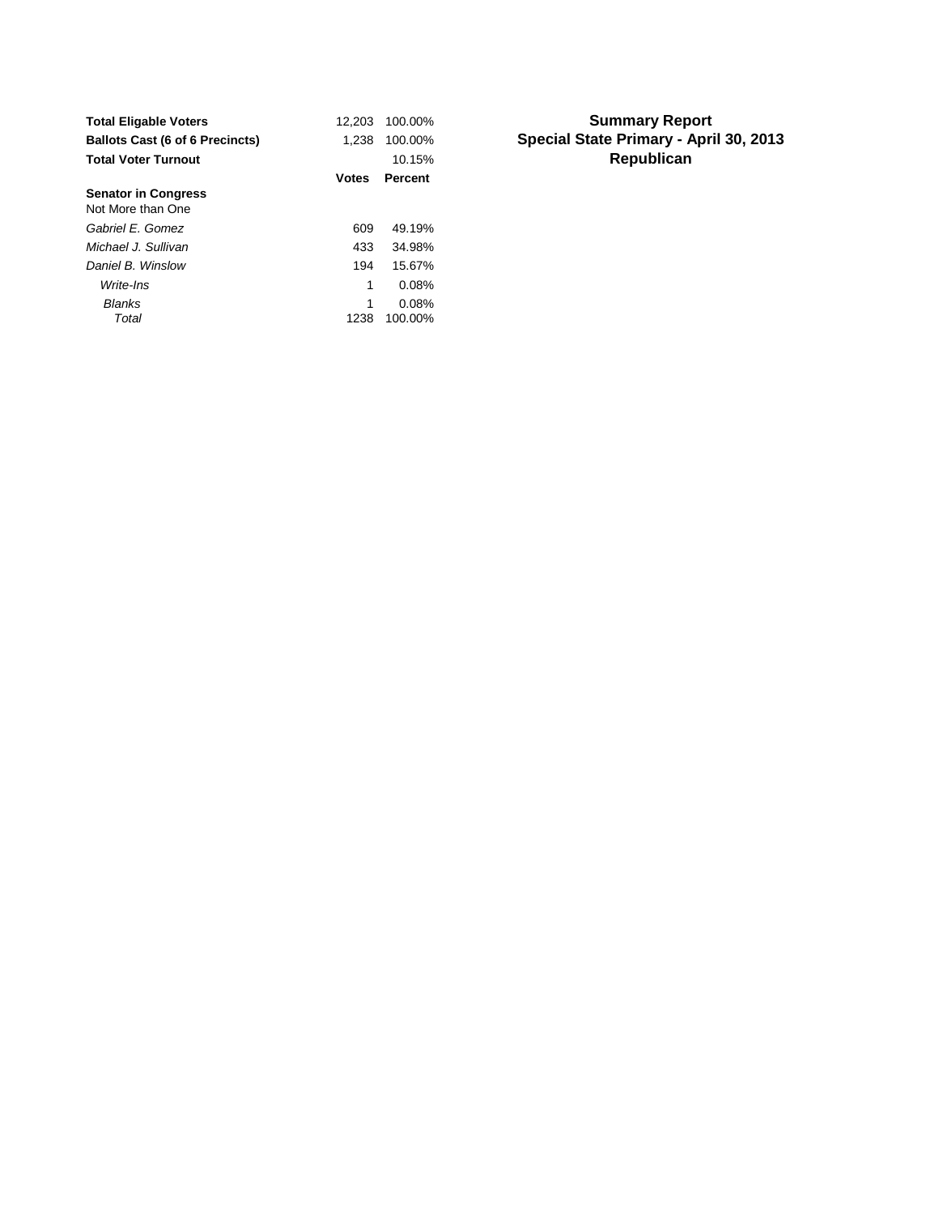| <b>Total Eligable Voters</b>           | 12.203       | 100.00% |
|----------------------------------------|--------------|---------|
| <b>Ballots Cast (6 of 6 Precincts)</b> | 1.238        | 100.00% |
| <b>Total Voter Turnout</b>             |              | 10.15%  |
|                                        | <b>Votes</b> | Percent |
| <b>Senator in Congress</b>             |              |         |
| Not More than One                      |              |         |
| Gabriel F. Gomez                       | 609          | 49.19%  |
| Michael J. Sullivan                    | 433          | 34.98%  |
| Daniel B. Winslow                      | 194          | 15.67%  |
| Write-Ins                              | 1            | 0.08%   |
| Blanks                                 | 1            | 0.08%   |
| Total                                  | 1238         | 100.00% |

## **Summary Report Special State Primary - April 30, 2013 Republican**